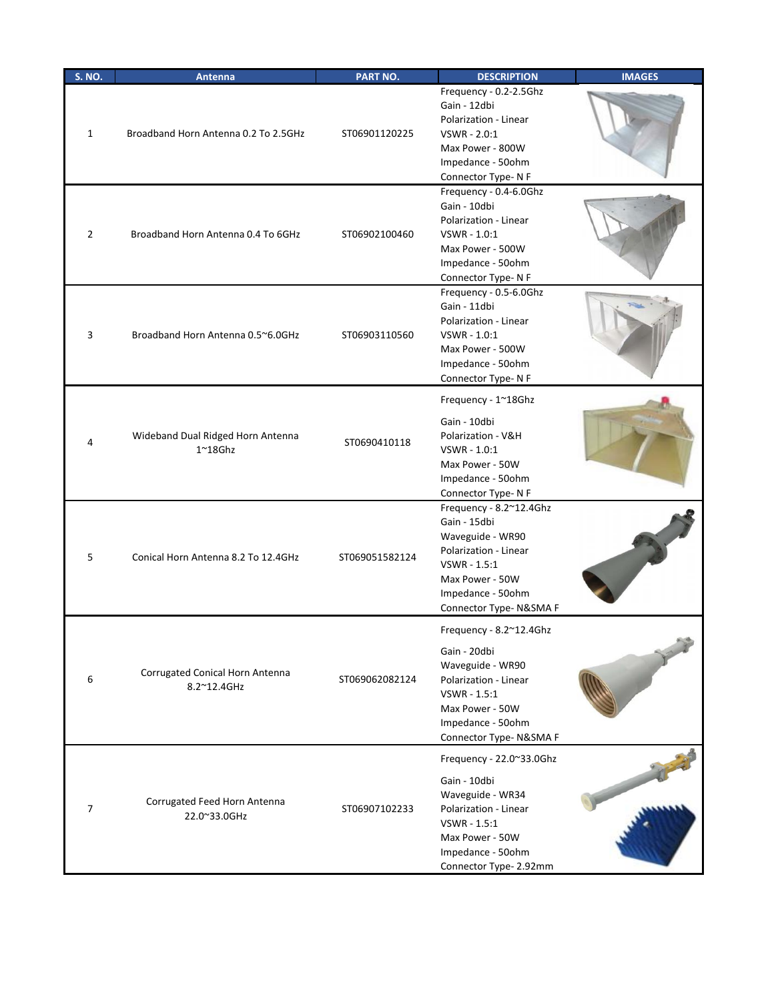| <b>S. NO.</b>  | Antenna                                               | PART NO.       | <b>DESCRIPTION</b>                                                                                                                                                     | <b>IMAGES</b> |
|----------------|-------------------------------------------------------|----------------|------------------------------------------------------------------------------------------------------------------------------------------------------------------------|---------------|
| $\mathbf{1}$   | Broadband Horn Antenna 0.2 To 2.5GHz                  | ST06901120225  | Frequency - 0.2-2.5Ghz<br>Gain - 12dbi<br>Polarization - Linear<br>VSWR - 2.0:1<br>Max Power - 800W<br>Impedance - 50ohm<br>Connector Type-NF                          |               |
| $\overline{2}$ | Broadband Horn Antenna 0.4 To 6GHz                    | ST06902100460  | Frequency - 0.4-6.0Ghz<br>Gain - 10dbi<br>Polarization - Linear<br>VSWR - 1.0:1<br>Max Power - 500W<br>Impedance - 50ohm<br>Connector Type-NF                          |               |
| 3              | Broadband Horn Antenna 0.5~6.0GHz                     | ST06903110560  | Frequency - 0.5-6.0Ghz<br>Gain - 11dbi<br>Polarization - Linear<br>VSWR - 1.0:1<br>Max Power - 500W<br>Impedance - 50ohm<br>Connector Type-NF                          |               |
| 4              | Wideband Dual Ridged Horn Antenna<br>$1^{\sim}18$ Ghz | ST0690410118   | Frequency - 1~18Ghz<br>Gain - 10dbi<br>Polarization - V&H<br>VSWR - 1.0:1<br>Max Power - 50W<br>Impedance - 50ohm<br>Connector Type-NF                                 |               |
| 5              | Conical Horn Antenna 8.2 To 12.4GHz                   | ST069051582124 | Frequency - 8.2~12.4Ghz<br>Gain - 15dbi<br>Waveguide - WR90<br>Polarization - Linear<br>VSWR - 1.5:1<br>Max Power - 50W<br>Impedance - 50ohm<br>Connector Type-N&SMA F |               |
| 6              | Corrugated Conical Horn Antenna<br>8.2~12.4GHz        | ST069062082124 | Frequency - 8.2~12.4Ghz<br>Gain - 20dbi<br>Waveguide - WR90<br>Polarization - Linear<br>VSWR - 1.5:1<br>Max Power - 50W<br>Impedance - 50ohm<br>Connector Type-N&SMA F |               |
| $\overline{7}$ | Corrugated Feed Horn Antenna<br>22.0~33.0GHz          | ST06907102233  | Frequency - 22.0~33.0Ghz<br>Gain - 10dbi<br>Waveguide - WR34<br>Polarization - Linear<br>VSWR - 1.5:1<br>Max Power - 50W<br>Impedance - 50ohm<br>Connector Type-2.92mm |               |